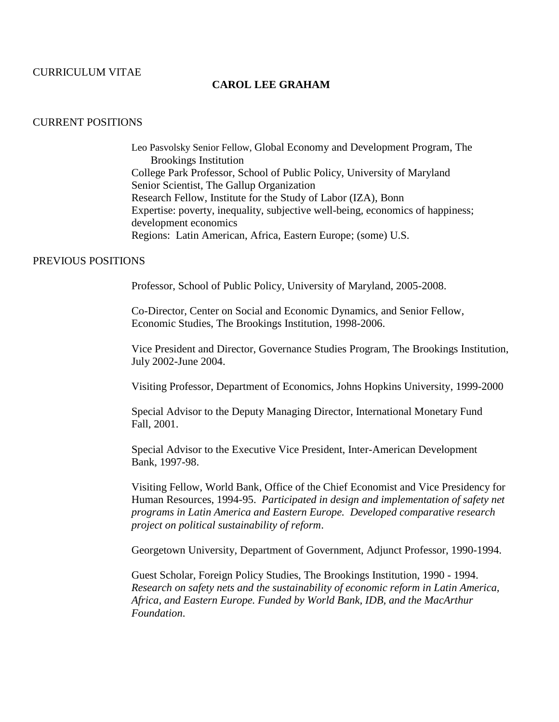## CURRICULUM VITAE

## **CAROL LEE GRAHAM**

#### CURRENT POSITIONS

Leo Pasvolsky Senior Fellow, Global Economy and Development Program, The Brookings Institution College Park Professor, School of Public Policy, University of Maryland Senior Scientist, The Gallup Organization Research Fellow, Institute for the Study of Labor (IZA), Bonn Expertise: poverty, inequality, subjective well-being, economics of happiness; development economics Regions: Latin American, Africa, Eastern Europe; (some) U.S.

### PREVIOUS POSITIONS

Professor, School of Public Policy, University of Maryland, 2005-2008.

Co-Director, Center on Social and Economic Dynamics, and Senior Fellow, Economic Studies, The Brookings Institution, 1998-2006.

Vice President and Director, Governance Studies Program, The Brookings Institution, July 2002-June 2004.

Visiting Professor, Department of Economics, Johns Hopkins University, 1999-2000

Special Advisor to the Deputy Managing Director, International Monetary Fund Fall, 2001.

Special Advisor to the Executive Vice President, Inter-American Development Bank, 1997-98.

Visiting Fellow, World Bank, Office of the Chief Economist and Vice Presidency for Human Resources, 1994-95. *Participated in design and implementation of safety net programs in Latin America and Eastern Europe. Developed comparative research project on political sustainability of reform*.

Georgetown University, Department of Government, Adjunct Professor, 1990-1994.

Guest Scholar, Foreign Policy Studies, The Brookings Institution, 1990 - 1994. *Research on safety nets and the sustainability of economic reform in Latin America, Africa, and Eastern Europe. Funded by World Bank, IDB, and the MacArthur Foundation*.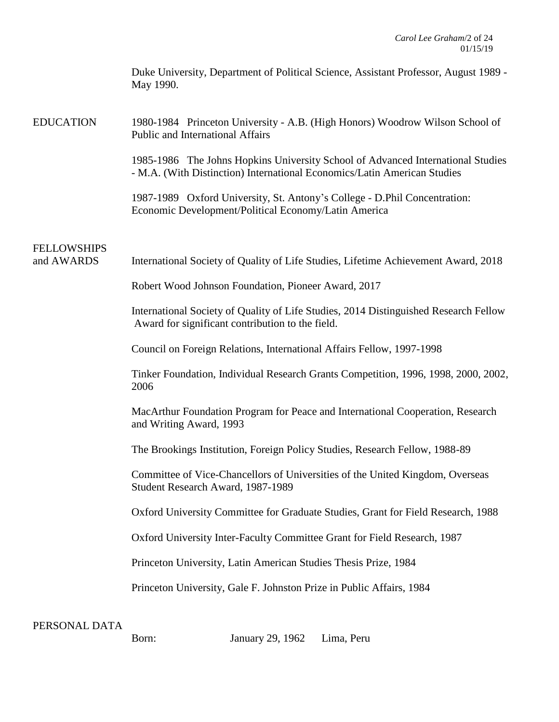| Duke University, Department of Political Science, Assistant Professor, August 1989 - |
|--------------------------------------------------------------------------------------|
| May 1990.                                                                            |

EDUCATION 1980-1984 Princeton University - A.B. (High Honors) Woodrow Wilson School of Public and International Affairs

> 1985-1986 The Johns Hopkins University School of Advanced International Studies - M.A. (With Distinction) International Economics/Latin American Studies

1987-1989 Oxford University, St. Antony's College - D.Phil Concentration: Economic Development/Political Economy/Latin America

# FELLOWSHIPS

and AWARDS International Society of Quality of Life Studies, Lifetime Achievement Award, 2018

Robert Wood Johnson Foundation, Pioneer Award, 2017

International Society of Quality of Life Studies, 2014 Distinguished Research Fellow Award for significant contribution to the field.

Council on Foreign Relations, International Affairs Fellow, 1997-1998

Tinker Foundation, Individual Research Grants Competition, 1996, 1998, 2000, 2002, 2006

MacArthur Foundation Program for Peace and International Cooperation, Research and Writing Award, 1993

The Brookings Institution, Foreign Policy Studies, Research Fellow, 1988-89

Committee of Vice-Chancellors of Universities of the United Kingdom, Overseas Student Research Award, 1987-1989

Oxford University Committee for Graduate Studies, Grant for Field Research, 1988

Oxford University Inter-Faculty Committee Grant for Field Research, 1987

Princeton University, Latin American Studies Thesis Prize, 1984

Princeton University, Gale F. Johnston Prize in Public Affairs, 1984

PERSONAL DATA

Born: January 29, 1962 Lima, Peru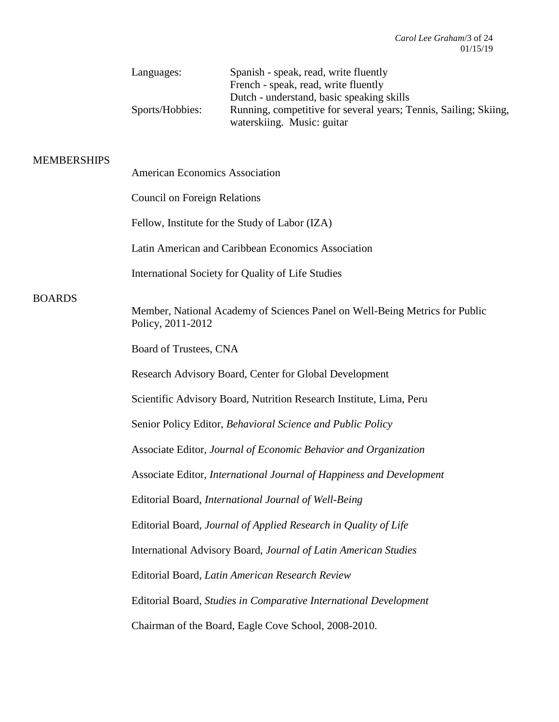| Languages:      | Spanish - speak, read, write fluently                            |
|-----------------|------------------------------------------------------------------|
|                 | French - speak, read, write fluently                             |
|                 | Dutch - understand, basic speaking skills                        |
| Sports/Hobbies: | Running, competitive for several years; Tennis, Sailing; Skiing, |
|                 | waterskiing. Music: guitar                                       |

# **MEMBERSHIPS**

| MEMBERSHIPS   | <b>American Economics Association</b>                                                            |
|---------------|--------------------------------------------------------------------------------------------------|
|               | <b>Council on Foreign Relations</b>                                                              |
|               | Fellow, Institute for the Study of Labor (IZA)                                                   |
|               | Latin American and Caribbean Economics Association                                               |
|               | International Society for Quality of Life Studies                                                |
| <b>BOARDS</b> |                                                                                                  |
|               | Member, National Academy of Sciences Panel on Well-Being Metrics for Public<br>Policy, 2011-2012 |
|               | Board of Trustees, CNA                                                                           |
|               | Research Advisory Board, Center for Global Development                                           |
|               | Scientific Advisory Board, Nutrition Research Institute, Lima, Peru                              |
|               | Senior Policy Editor, Behavioral Science and Public Policy                                       |
|               | Associate Editor, Journal of Economic Behavior and Organization                                  |
|               | Associate Editor, International Journal of Happiness and Development                             |
|               | Editorial Board, International Journal of Well-Being                                             |
|               | Editorial Board, Journal of Applied Research in Quality of Life                                  |
|               | International Advisory Board, Journal of Latin American Studies                                  |
|               | Editorial Board, Latin American Research Review                                                  |
|               | Editorial Board, Studies in Comparative International Development                                |
|               | Chairman of the Board, Eagle Cove School, 2008-2010.                                             |
|               |                                                                                                  |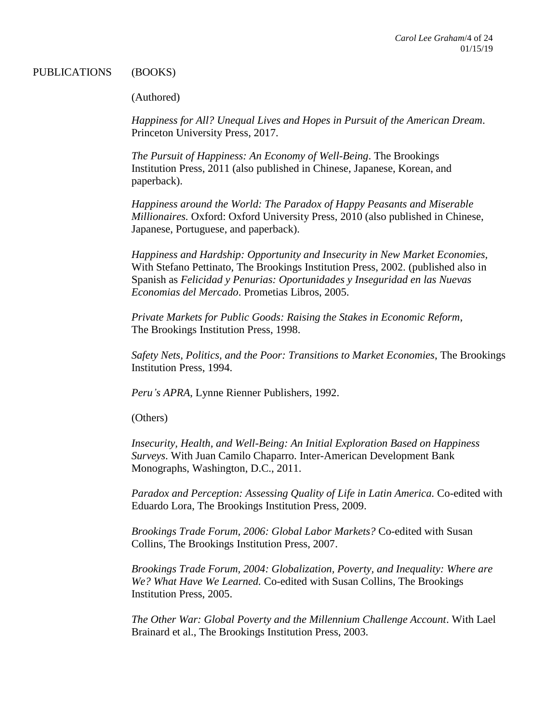### PUBLICATIONS (BOOKS)

## (Authored)

*Happiness for All? Unequal Lives and Hopes in Pursuit of the American Dream*. Princeton University Press, 2017.

*The Pursuit of Happiness: An Economy of Well-Being*. The Brookings Institution Press, 2011 (also published in Chinese, Japanese, Korean, and paperback).

*Happiness around the World: The Paradox of Happy Peasants and Miserable Millionaires.* Oxford: Oxford University Press, 2010 (also published in Chinese, Japanese, Portuguese, and paperback).

*Happiness and Hardship: Opportunity and Insecurity in New Market Economies,* With Stefano Pettinato, The Brookings Institution Press, 2002. (published also in Spanish as *Felicidad y Penurias: Oportunidades y Inseguridad en las Nuevas Economias del Mercado*. Prometias Libros, 2005.

*Private Markets for Public Goods: Raising the Stakes in Economic Reform*, The Brookings Institution Press, 1998.

*Safety Nets, Politics, and the Poor: Transitions to Market Economies*, The Brookings Institution Press, 1994.

*Peru's APRA*, Lynne Rienner Publishers, 1992.

(Others)

*Insecurity, Health, and Well-Being: An Initial Exploration Based on Happiness Surveys*. With Juan Camilo Chaparro. Inter-American Development Bank Monographs, Washington, D.C., 2011.

*Paradox and Perception: Assessing Quality of Life in Latin America.* Co-edited with Eduardo Lora, The Brookings Institution Press, 2009.

*Brookings Trade Forum, 2006: Global Labor Markets?* Co-edited with Susan Collins, The Brookings Institution Press, 2007.

*Brookings Trade Forum, 2004: Globalization, Poverty, and Inequality: Where are We? What Have We Learned.* Co-edited with Susan Collins, The Brookings Institution Press, 2005.

*The Other War: Global Poverty and the Millennium Challenge Account*. With Lael Brainard et al., The Brookings Institution Press, 2003.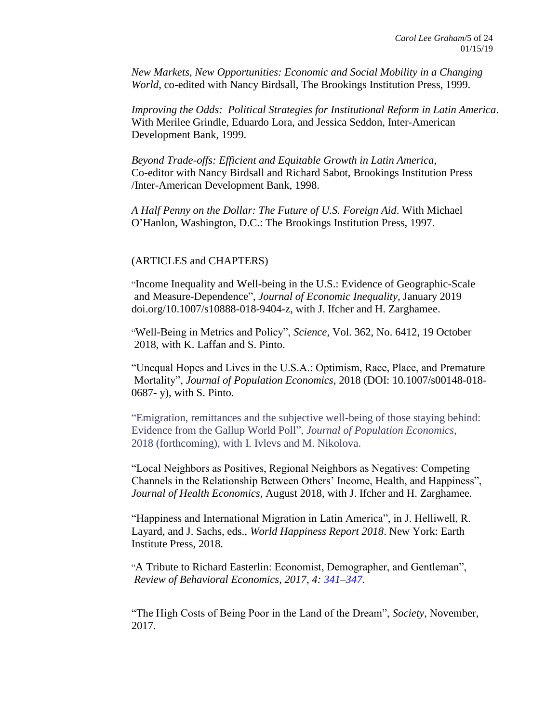*New Markets, New Opportunities: Economic and Social Mobility in a Changing World*, co-edited with Nancy Birdsall, The Brookings Institution Press, 1999.

*Improving the Odds: Political Strategies for Institutional Reform in Latin America*. With Merilee Grindle, Eduardo Lora, and Jessica Seddon, Inter-American Development Bank, 1999.

*Beyond Trade-offs: Efficient and Equitable Growth in Latin America*, Co-editor with Nancy Birdsall and Richard Sabot, Brookings Institution Press /Inter-American Development Bank, 1998.

*A Half Penny on the Dollar: The Future of U.S. Foreign Aid*. With Michael O'Hanlon, Washington, D.C.: The Brookings Institution Press, 1997.

## (ARTICLES and CHAPTERS)

"Income Inequality and Well-being in the U.S.: Evidence of Geographic-Scale and Measure-Dependence", *Journal of Economic Inequality*, January 2019 doi.org/10.1007/s10888-018-9404-z, with J. Ifcher and H. Zarghamee.

"Well-Being in Metrics and Policy", *Science*, Vol. 362, No. 6412, 19 October 2018, with K. Laffan and S. Pinto.

"Unequal Hopes and Lives in the U.S.A.: Optimism, Race, Place, and Premature Mortality", *Journal of Population Economics*, 2018 (DOI: 10.1007/s00148-018- 0687- y), with S. Pinto.

"Emigration, remittances and the subjective well-being of those staying behind: Evidence from the Gallup World Poll", *Journal of Population Economics*, 2018 (forthcoming), with I. Ivlevs and M. Nikolova.

"Local Neighbors as Positives, Regional Neighbors as Negatives: Competing Channels in the Relationship Between Others' Income, Health, and Happiness", *Journal of Health Economics*, August 2018, with J. Ifcher and H. Zarghamee.

"Happiness and International Migration in Latin America", in J. Helliwell, R. Layard, and J. Sachs, eds., *World Happiness Report 2018*. New York: Earth Institute Press, 2018.

"A Tribute to Richard Easterlin: Economist, Demographer, and Gentleman", *Review of Behavioral Economics, 2017, 4: 341–347.*

"The High Costs of Being Poor in the Land of the Dream", *Society*, November, 2017.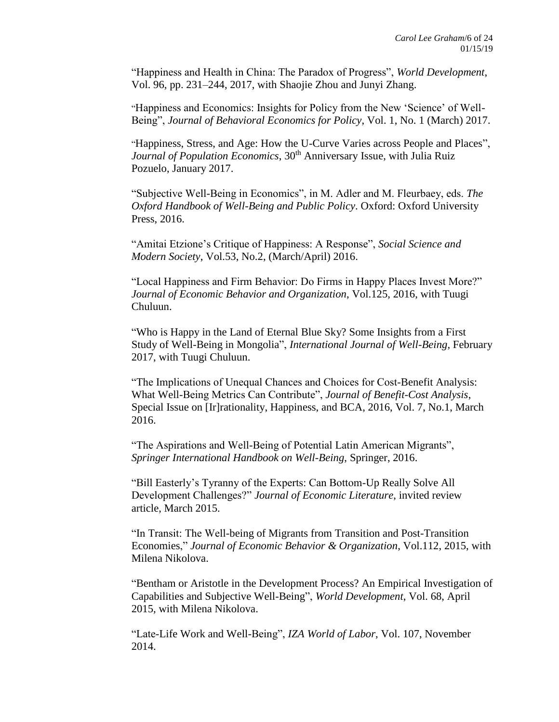"Happiness and Health in China: The Paradox of Progress", *World Development*, Vol. 96, pp. 231–244, 2017, with Shaojie Zhou and Junyi Zhang.

"Happiness and Economics: Insights for Policy from the New 'Science' of Well-Being", *Journal of Behavioral Economics for Policy*, Vol. 1, No. 1 (March) 2017.

"Happiness, Stress, and Age: How the U-Curve Varies across People and Places", *Journal of Population Economics*, 30<sup>th</sup> Anniversary Issue, with Julia Ruiz Pozuelo, January 2017.

"Subjective Well-Being in Economics", in M. Adler and M. Fleurbaey, eds. *The Oxford Handbook of Well-Being and Public Policy*. Oxford: Oxford University Press, 2016.

"Amitai Etzione's Critique of Happiness: A Response", *Social Science and Modern Society*, Vol.53, No.2, (March/April) 2016.

"Local Happiness and Firm Behavior: Do Firms in Happy Places Invest More?" *Journal of Economic Behavior and Organization*, Vol.125, 2016, with Tuugi Chuluun.

"Who is Happy in the Land of Eternal Blue Sky? Some Insights from a First Study of Well-Being in Mongolia", *International Journal of Well-Being*, February 2017, with Tuugi Chuluun.

"The Implications of Unequal Chances and Choices for Cost-Benefit Analysis: What Well-Being Metrics Can Contribute", *Journal of Benefit-Cost Analysis*, Special Issue on [Ir]rationality, Happiness, and BCA, 2016, Vol. 7, No.1, March 2016.

"The Aspirations and Well-Being of Potential Latin American Migrants", *Springer International Handbook on Well-Being*, Springer, 2016.

"Bill Easterly's Tyranny of the Experts: Can Bottom-Up Really Solve All Development Challenges?" *Journal of Economic Literature*, invited review article, March 2015.

"In Transit: The Well-being of Migrants from Transition and Post-Transition Economies," *Journal of Economic Behavior & Organization*, Vol.112, 2015, with Milena Nikolova.

"Bentham or Aristotle in the Development Process? An Empirical Investigation of Capabilities and Subjective Well-Being", *World Development*, Vol. 68, April 2015, with Milena Nikolova.

"Late-Life Work and Well-Being", *IZA World of Labor*, Vol. 107, November 2014.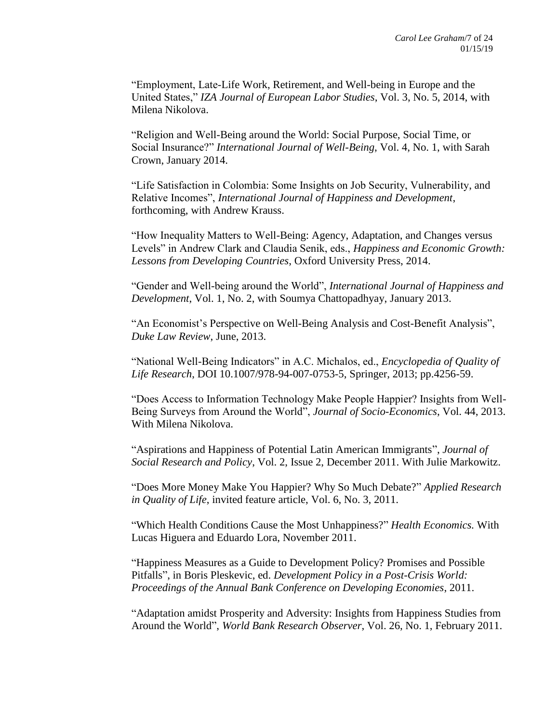"Employment, Late-Life Work, Retirement, and Well-being in Europe and the United States," *IZA Journal of European Labor Studies*, Vol. 3, No. 5, 2014, with Milena Nikolova.

"Religion and Well-Being around the World: Social Purpose, Social Time, or Social Insurance?" *International Journal of Well-Being*, Vol. 4, No. 1, with Sarah Crown, January 2014.

"Life Satisfaction in Colombia: Some Insights on Job Security, Vulnerability, and Relative Incomes", *International Journal of Happiness and Development*, forthcoming, with Andrew Krauss.

"How Inequality Matters to Well-Being: Agency, Adaptation, and Changes versus Levels" in Andrew Clark and Claudia Senik, eds., *Happiness and Economic Growth: Lessons from Developing Countries*, Oxford University Press, 2014.

"Gender and Well-being around the World", *International Journal of Happiness and Development*, Vol. 1, No. 2, with Soumya Chattopadhyay, January 2013.

"An Economist's Perspective on Well-Being Analysis and Cost-Benefit Analysis", *Duke Law Review*, June, 2013.

"National Well-Being Indicators" in A.C. Michalos, ed., *Encyclopedia of Quality of Life Research*, DOI 10.1007/978-94-007-0753-5, Springer, 2013; pp.4256-59.

"Does Access to Information Technology Make People Happier? Insights from Well-Being Surveys from Around the World", *Journal of Socio-Economics*, Vol. 44, 2013. With Milena Nikolova.

"Aspirations and Happiness of Potential Latin American Immigrants", *Journal of Social Research and Policy*, Vol. 2, Issue 2, December 2011. With Julie Markowitz.

"Does More Money Make You Happier? Why So Much Debate?" *Applied Research in Quality of Life*, invited feature article, Vol. 6, No. 3, 2011.

"Which Health Conditions Cause the Most Unhappiness?" *Health Economics.* With Lucas Higuera and Eduardo Lora, November 2011.

"Happiness Measures as a Guide to Development Policy? Promises and Possible Pitfalls", in Boris Pleskevic, ed. *Development Policy in a Post-Crisis World: Proceedings of the Annual Bank Conference on Developing Economies*, 2011.

"Adaptation amidst Prosperity and Adversity: Insights from Happiness Studies from Around the World", *World Bank Research Observer*, Vol. 26, No. 1, February 2011.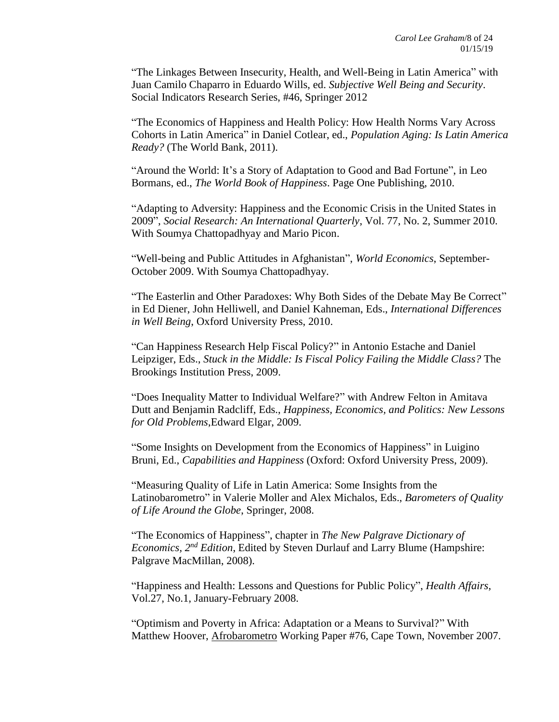"The Linkages Between Insecurity, Health, and Well-Being in Latin America" with Juan Camilo Chaparro in Eduardo Wills, ed. *Subjective Well Being and Security*. Social Indicators Research Series, #46, Springer 2012

"The Economics of Happiness and Health Policy: How Health Norms Vary Across Cohorts in Latin America" in Daniel Cotlear, ed., *Population Aging: Is Latin America Ready?* (The World Bank, 2011).

"Around the World: It's a Story of Adaptation to Good and Bad Fortune", in Leo Bormans, ed., *The World Book of Happiness*. Page One Publishing, 2010.

"Adapting to Adversity: Happiness and the Economic Crisis in the United States in 2009", *Social Research: An International Quarterly*, Vol. 77, No. 2, Summer 2010. With Soumya Chattopadhyay and Mario Picon.

"Well-being and Public Attitudes in Afghanistan", *World Economics*, September-October 2009. With Soumya Chattopadhyay.

"The Easterlin and Other Paradoxes: Why Both Sides of the Debate May Be Correct" in Ed Diener, John Helliwell, and Daniel Kahneman, Eds., *International Differences in Well Being*, Oxford University Press, 2010.

"Can Happiness Research Help Fiscal Policy?" in Antonio Estache and Daniel Leipziger, Eds., *Stuck in the Middle: Is Fiscal Policy Failing the Middle Class?* The Brookings Institution Press, 2009.

"Does Inequality Matter to Individual Welfare?" with Andrew Felton in Amitava Dutt and Benjamin Radcliff, Eds., *Happiness, Economics, and Politics: New Lessons for Old Problems*,Edward Elgar, 2009.

"Some Insights on Development from the Economics of Happiness" in Luigino Bruni, Ed., *Capabilities and Happiness* (Oxford: Oxford University Press, 2009).

"Measuring Quality of Life in Latin America: Some Insights from the Latinobarometro" in Valerie Moller and Alex Michalos, Eds., *Barometers of Quality of Life Around the Globe*, Springer, 2008.

"The Economics of Happiness", chapter in *The New Palgrave Dictionary of Economics, 2nd Edition*, Edited by Steven Durlauf and Larry Blume (Hampshire: Palgrave MacMillan, 2008).

"Happiness and Health: Lessons and Questions for Public Policy", *Health Affairs*, Vol.27, No.1, January-February 2008.

"Optimism and Poverty in Africa: Adaptation or a Means to Survival?" With Matthew Hoover, Afrobarometro Working Paper #76, Cape Town, November 2007.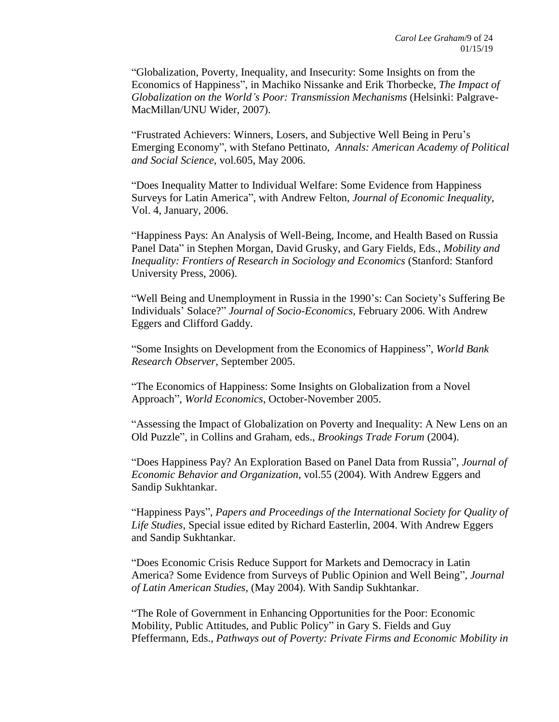"Globalization, Poverty, Inequality, and Insecurity: Some Insights on from the Economics of Happiness", in Machiko Nissanke and Erik Thorbecke, *The Impact of Globalization on the World's Poor: Transmission Mechanisms* (Helsinki: Palgrave-MacMillan/UNU Wider, 2007).

"Frustrated Achievers: Winners, Losers, and Subjective Well Being in Peru's Emerging Economy", with Stefano Pettinato, *Annals: American Academy of Political and Social Science*, vol.605, May 2006.

"Does Inequality Matter to Individual Welfare: Some Evidence from Happiness Surveys for Latin America", with Andrew Felton, *Journal of Economic Inequality*, Vol. 4, January, 2006.

"Happiness Pays: An Analysis of Well-Being, Income, and Health Based on Russia Panel Data" in Stephen Morgan, David Grusky, and Gary Fields, Eds., *Mobility and Inequality: Frontiers of Research in Sociology and Economics* (Stanford: Stanford University Press, 2006).

"Well Being and Unemployment in Russia in the 1990's: Can Society's Suffering Be Individuals' Solace?" *Journal of Socio-Economics*, February 2006. With Andrew Eggers and Clifford Gaddy.

"Some Insights on Development from the Economics of Happiness", *World Bank Research Observer*, September 2005.

"The Economics of Happiness: Some Insights on Globalization from a Novel Approach", *World Economics*, October-November 2005.

"Assessing the Impact of Globalization on Poverty and Inequality: A New Lens on an Old Puzzle", in Collins and Graham, eds., *Brookings Trade Forum* (2004).

"Does Happiness Pay? An Exploration Based on Panel Data from Russia", *Journal of Economic Behavior and Organization*, vol.55 (2004). With Andrew Eggers and Sandip Sukhtankar.

"Happiness Pays", *Papers and Proceedings of the International Society for Quality of Life Studies*, Special issue edited by Richard Easterlin, 2004. With Andrew Eggers and Sandip Sukhtankar.

"Does Economic Crisis Reduce Support for Markets and Democracy in Latin America? Some Evidence from Surveys of Public Opinion and Well Being", *Journal of Latin American Studies*, (May 2004). With Sandip Sukhtankar.

"The Role of Government in Enhancing Opportunities for the Poor: Economic Mobility, Public Attitudes, and Public Policy" in Gary S. Fields and Guy Pfeffermann, Eds., *Pathways out of Poverty: Private Firms and Economic Mobility in*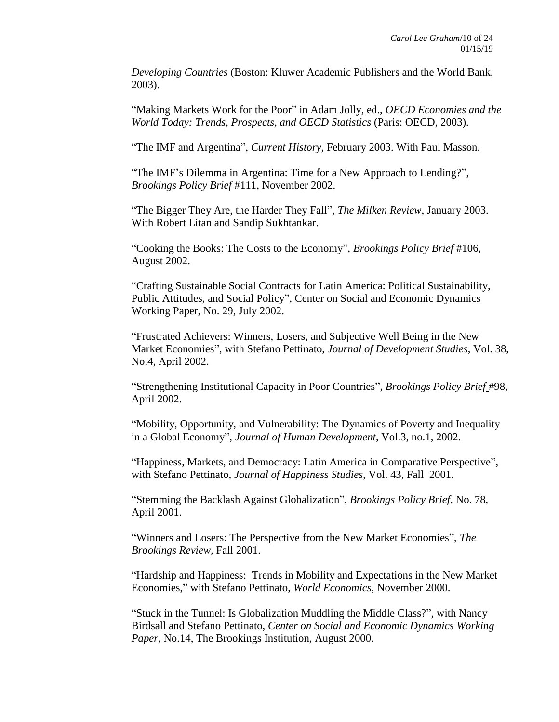*Developing Countries* (Boston: Kluwer Academic Publishers and the World Bank, 2003).

"Making Markets Work for the Poor" in Adam Jolly, ed., *OECD Economies and the World Today: Trends, Prospects, and OECD Statistics* (Paris: OECD, 2003).

"The IMF and Argentina", *Current History*, February 2003. With Paul Masson.

"The IMF's Dilemma in Argentina: Time for a New Approach to Lending?", *Brookings Policy Brief* #111, November 2002.

"The Bigger They Are, the Harder They Fall", *The Milken Review*, January 2003. With Robert Litan and Sandip Sukhtankar.

"Cooking the Books: The Costs to the Economy", *Brookings Policy Brief* #106, August 2002.

"Crafting Sustainable Social Contracts for Latin America: Political Sustainability, Public Attitudes, and Social Policy", Center on Social and Economic Dynamics Working Paper, No. 29, July 2002.

"Frustrated Achievers: Winners, Losers, and Subjective Well Being in the New Market Economies", with Stefano Pettinato, *Journal of Development Studies*, Vol. 38, No.4, April 2002.

"Strengthening Institutional Capacity in Poor Countries", *Brookings Policy Brief* #98, April 2002.

"Mobility, Opportunity, and Vulnerability: The Dynamics of Poverty and Inequality in a Global Economy", *Journal of Human Development*, Vol.3, no.1, 2002.

"Happiness, Markets, and Democracy: Latin America in Comparative Perspective", with Stefano Pettinato, *Journal of Happiness Studies*, Vol. 43, Fall 2001.

"Stemming the Backlash Against Globalization", *Brookings Policy Brief*, No. 78, April 2001.

"Winners and Losers: The Perspective from the New Market Economies", *The Brookings Review*, Fall 2001.

"Hardship and Happiness: Trends in Mobility and Expectations in the New Market Economies," with Stefano Pettinato, *World Economics*, November 2000.

"Stuck in the Tunnel: Is Globalization Muddling the Middle Class?", with Nancy Birdsall and Stefano Pettinato, *Center on Social and Economic Dynamics Working Paper*, No.14, The Brookings Institution, August 2000.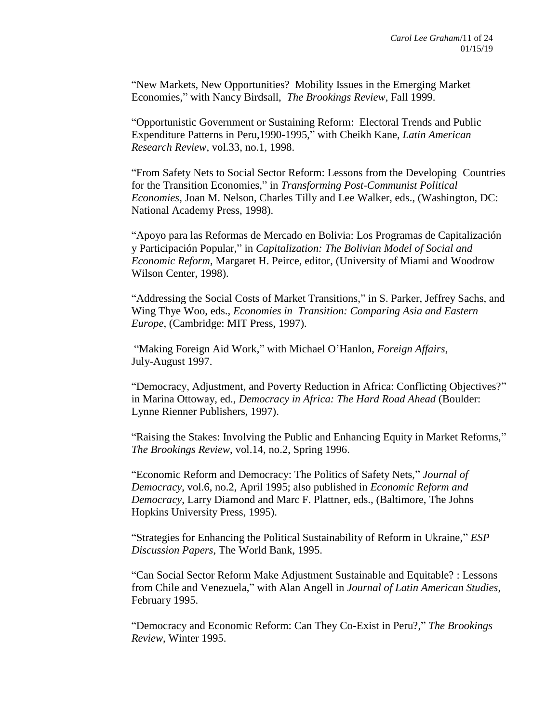"New Markets, New Opportunities? Mobility Issues in the Emerging Market Economies," with Nancy Birdsall, *The Brookings Review*, Fall 1999.

"Opportunistic Government or Sustaining Reform: Electoral Trends and Public Expenditure Patterns in Peru,1990-1995," with Cheikh Kane, *Latin American Research Review*, vol.33, no.1, 1998.

"From Safety Nets to Social Sector Reform: Lessons from the Developing Countries for the Transition Economies," in *Transforming Post-Communist Political Economies,* Joan M. Nelson, Charles Tilly and Lee Walker, eds., (Washington, DC: National Academy Press, 1998).

"Apoyo para las Reformas de Mercado en Bolivia: Los Programas de Capitalización y Participación Popular," in *Capitalization: The Bolivian Model of Social and Economic Reform*, Margaret H. Peirce, editor, (University of Miami and Woodrow Wilson Center, 1998).

"Addressing the Social Costs of Market Transitions," in S. Parker, Jeffrey Sachs, and Wing Thye Woo, eds., *Economies in Transition: Comparing Asia and Eastern Europe*, (Cambridge: MIT Press, 1997).

"Making Foreign Aid Work," with Michael O'Hanlon, *Foreign Affairs*, July-August 1997.

"Democracy, Adjustment, and Poverty Reduction in Africa: Conflicting Objectives?" in Marina Ottoway, ed., *Democracy in Africa: The Hard Road Ahead* (Boulder: Lynne Rienner Publishers, 1997).

"Raising the Stakes: Involving the Public and Enhancing Equity in Market Reforms," *The Brookings Review*, vol.14, no.2, Spring 1996.

"Economic Reform and Democracy: The Politics of Safety Nets," *Journal of Democracy,* vol.6, no.2, April 1995; also published in *Economic Reform and Democracy*, Larry Diamond and Marc F. Plattner, eds., (Baltimore, The Johns Hopkins University Press, 1995).

"Strategies for Enhancing the Political Sustainability of Reform in Ukraine," *ESP Discussion Papers*, The World Bank, 1995.

"Can Social Sector Reform Make Adjustment Sustainable and Equitable? : Lessons from Chile and Venezuela," with Alan Angell in *Journal of Latin American Studies*, February 1995.

"Democracy and Economic Reform: Can They Co-Exist in Peru?," *The Brookings Review*, Winter 1995.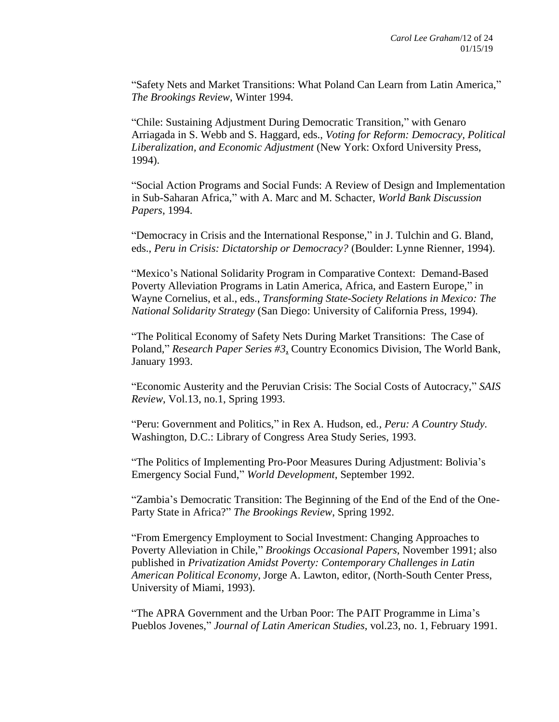"Safety Nets and Market Transitions: What Poland Can Learn from Latin America," *The Brookings Review*, Winter 1994.

"Chile: Sustaining Adjustment During Democratic Transition," with Genaro Arriagada in S. Webb and S. Haggard, eds., *Voting for Reform: Democracy, Political Liberalization, and Economic Adjustment* (New York: Oxford University Press, 1994).

"Social Action Programs and Social Funds: A Review of Design and Implementation in Sub-Saharan Africa," with A. Marc and M. Schacter, *World Bank Discussion Papers*, 1994.

"Democracy in Crisis and the International Response," in J. Tulchin and G. Bland, eds., *Peru in Crisis: Dictatorship or Democracy?* (Boulder: Lynne Rienner, 1994).

"Mexico's National Solidarity Program in Comparative Context: Demand-Based Poverty Alleviation Programs in Latin America, Africa, and Eastern Europe," in Wayne Cornelius, et al., eds., *Transforming State-Society Relations in Mexico: The National Solidarity Strategy* (San Diego: University of California Press, 1994).

"The Political Economy of Safety Nets During Market Transitions: The Case of Poland," *Research Paper Series #3*, Country Economics Division, The World Bank, January 1993.

"Economic Austerity and the Peruvian Crisis: The Social Costs of Autocracy," *SAIS Review*, Vol.13, no.1, Spring 1993.

"Peru: Government and Politics," in Rex A. Hudson, ed*., Peru: A Country Study.* Washington, D.C.: Library of Congress Area Study Series, 1993.

"The Politics of Implementing Pro-Poor Measures During Adjustment: Bolivia's Emergency Social Fund," *World Development*, September 1992.

"Zambia's Democratic Transition: The Beginning of the End of the End of the One-Party State in Africa?" *The Brookings Review*, Spring 1992.

"From Emergency Employment to Social Investment: Changing Approaches to Poverty Alleviation in Chile," *Brookings Occasional Papers*, November 1991; also published in *Privatization Amidst Poverty: Contemporary Challenges in Latin American Political Economy*, Jorge A. Lawton, editor, (North-South Center Press, University of Miami, 1993).

"The APRA Government and the Urban Poor: The PAIT Programme in Lima's Pueblos Jovenes," *Journal of Latin American Studies*, vol.23, no. 1, February 1991.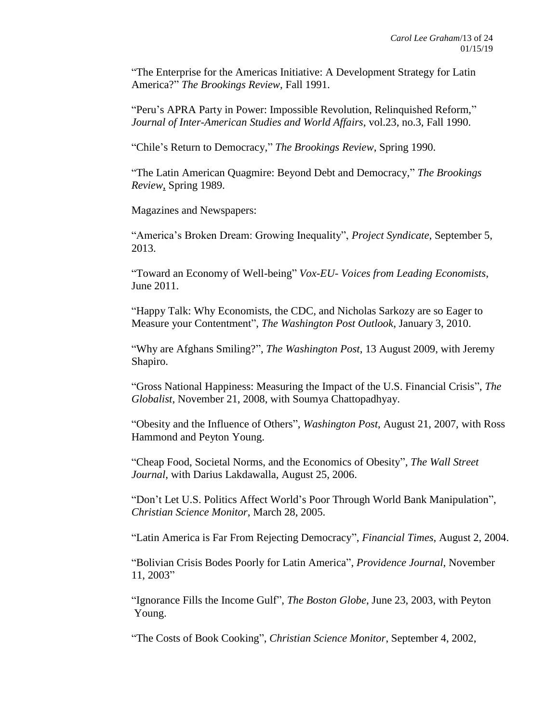"The Enterprise for the Americas Initiative: A Development Strategy for Latin America?" *The Brookings Review*, Fall 1991.

"Peru's APRA Party in Power: Impossible Revolution, Relinquished Reform," *Journal of Inter-American Studies and World Affairs*, vol.23, no.3, Fall 1990.

"Chile's Return to Democracy," *The Brookings Review*, Spring 1990.

"The Latin American Quagmire: Beyond Debt and Democracy," *The Brookings Review*, Spring 1989.

Magazines and Newspapers:

"America's Broken Dream: Growing Inequality", *Project Syndicate*, September 5, 2013.

"Toward an Economy of Well-being" *Vox-EU- Voices from Leading Economists*, June 2011.

"Happy Talk: Why Economists, the CDC, and Nicholas Sarkozy are so Eager to Measure your Contentment", *The Washington Post Outlook*, January 3, 2010.

"Why are Afghans Smiling?", *The Washington Post*, 13 August 2009, with Jeremy Shapiro.

"Gross National Happiness: Measuring the Impact of the U.S. Financial Crisis", *The Globalist*, November 21, 2008, with Soumya Chattopadhyay.

"Obesity and the Influence of Others", *Washington Post*, August 21, 2007, with Ross Hammond and Peyton Young.

"Cheap Food, Societal Norms, and the Economics of Obesity", *The Wall Street Journal*, with Darius Lakdawalla, August 25, 2006.

"Don't Let U.S. Politics Affect World's Poor Through World Bank Manipulation", *Christian Science Monitor*, March 28, 2005.

"Latin America is Far From Rejecting Democracy", *Financial Times*, August 2, 2004.

"Bolivian Crisis Bodes Poorly for Latin America", *Providence Journal*, November 11, 2003"

"Ignorance Fills the Income Gulf", *The Boston Globe*, June 23, 2003, with Peyton Young.

"The Costs of Book Cooking", *Christian Science Monitor*, September 4, 2002,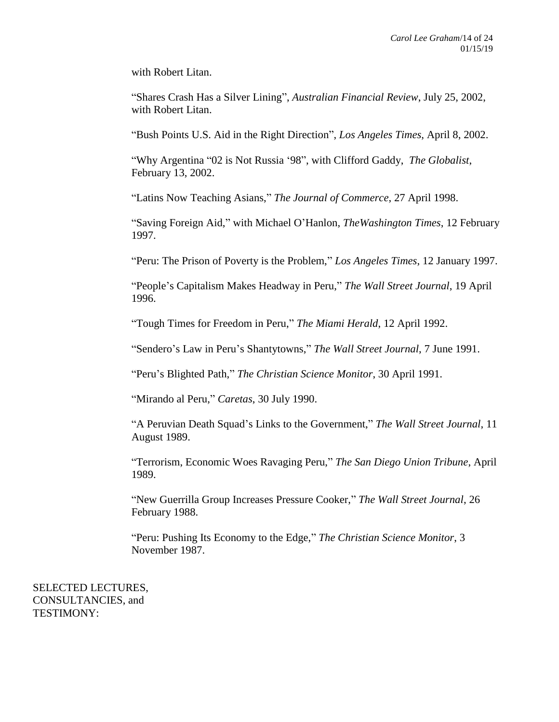with Robert Litan.

"Shares Crash Has a Silver Lining", *Australian Financial Review*, July 25, 2002, with Robert Litan.

"Bush Points U.S. Aid in the Right Direction", *Los Angeles Times*, April 8, 2002.

"Why Argentina "02 is Not Russia '98", with Clifford Gaddy, *The Globalist*, February 13, 2002.

"Latins Now Teaching Asians," *The Journal of Commerce*, 27 April 1998.

"Saving Foreign Aid," with Michael O'Hanlon, *TheWashington Times*, 12 February 1997.

"Peru: The Prison of Poverty is the Problem," *Los Angeles Times*, 12 January 1997.

"People's Capitalism Makes Headway in Peru," *The Wall Street Journal*, 19 April 1996.

"Tough Times for Freedom in Peru," *The Miami Herald*, 12 April 1992.

"Sendero's Law in Peru's Shantytowns," *The Wall Street Journal*, 7 June 1991.

"Peru's Blighted Path," *The Christian Science Monitor*, 30 April 1991.

"Mirando al Peru," *Caretas*, 30 July 1990.

"A Peruvian Death Squad's Links to the Government," *The Wall Street Journal*, 11 August 1989.

"Terrorism, Economic Woes Ravaging Peru," *The San Diego Union Tribune*, April 1989.

"New Guerrilla Group Increases Pressure Cooker," *The Wall Street Journal*, 26 February 1988.

"Peru: Pushing Its Economy to the Edge," *The Christian Science Monitor*, 3 November 1987.

SELECTED LECTURES, CONSULTANCIES, and TESTIMONY: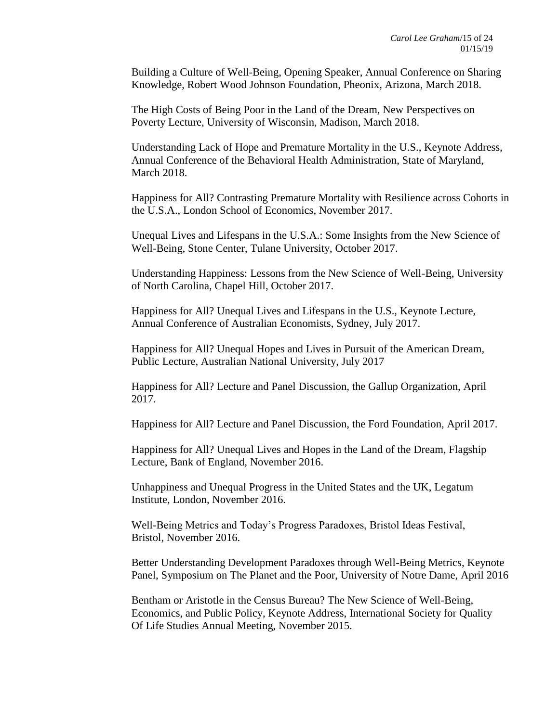Building a Culture of Well-Being, Opening Speaker, Annual Conference on Sharing Knowledge, Robert Wood Johnson Foundation, Pheonix, Arizona, March 2018.

The High Costs of Being Poor in the Land of the Dream, New Perspectives on Poverty Lecture, University of Wisconsin, Madison, March 2018.

Understanding Lack of Hope and Premature Mortality in the U.S., Keynote Address, Annual Conference of the Behavioral Health Administration, State of Maryland, March 2018.

Happiness for All? Contrasting Premature Mortality with Resilience across Cohorts in the U.S.A., London School of Economics, November 2017.

Unequal Lives and Lifespans in the U.S.A.: Some Insights from the New Science of Well-Being, Stone Center, Tulane University, October 2017.

Understanding Happiness: Lessons from the New Science of Well-Being, University of North Carolina, Chapel Hill, October 2017.

Happiness for All? Unequal Lives and Lifespans in the U.S., Keynote Lecture, Annual Conference of Australian Economists, Sydney, July 2017.

Happiness for All? Unequal Hopes and Lives in Pursuit of the American Dream, Public Lecture, Australian National University, July 2017

Happiness for All? Lecture and Panel Discussion, the Gallup Organization, April 2017.

Happiness for All? Lecture and Panel Discussion, the Ford Foundation, April 2017.

Happiness for All? Unequal Lives and Hopes in the Land of the Dream, Flagship Lecture, Bank of England, November 2016.

Unhappiness and Unequal Progress in the United States and the UK, Legatum Institute, London, November 2016.

Well-Being Metrics and Today's Progress Paradoxes, Bristol Ideas Festival, Bristol, November 2016.

Better Understanding Development Paradoxes through Well-Being Metrics, Keynote Panel, Symposium on The Planet and the Poor, University of Notre Dame, April 2016

Bentham or Aristotle in the Census Bureau? The New Science of Well-Being, Economics, and Public Policy, Keynote Address, International Society for Quality Of Life Studies Annual Meeting, November 2015.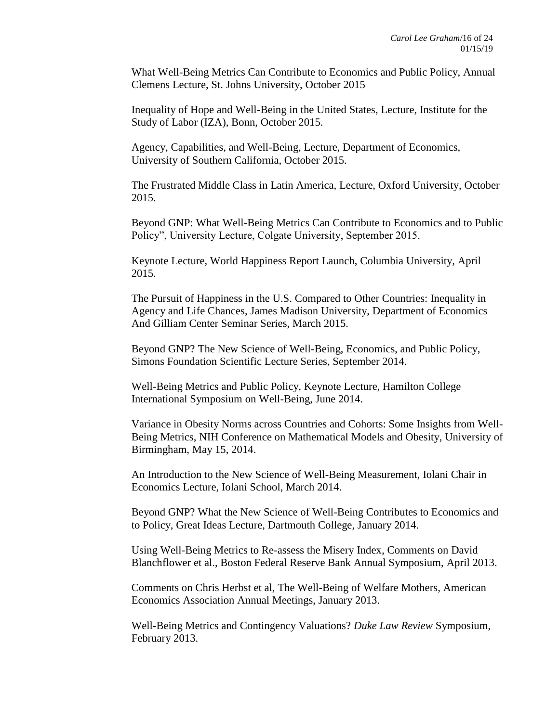What Well-Being Metrics Can Contribute to Economics and Public Policy, Annual Clemens Lecture, St. Johns University, October 2015

Inequality of Hope and Well-Being in the United States, Lecture, Institute for the Study of Labor (IZA), Bonn, October 2015.

Agency, Capabilities, and Well-Being, Lecture, Department of Economics, University of Southern California, October 2015.

The Frustrated Middle Class in Latin America, Lecture, Oxford University, October 2015.

Beyond GNP: What Well-Being Metrics Can Contribute to Economics and to Public Policy", University Lecture, Colgate University, September 2015.

Keynote Lecture, World Happiness Report Launch, Columbia University, April 2015.

The Pursuit of Happiness in the U.S. Compared to Other Countries: Inequality in Agency and Life Chances, James Madison University, Department of Economics And Gilliam Center Seminar Series, March 2015.

Beyond GNP? The New Science of Well-Being, Economics, and Public Policy, Simons Foundation Scientific Lecture Series, September 2014.

Well-Being Metrics and Public Policy, Keynote Lecture, Hamilton College International Symposium on Well-Being, June 2014.

Variance in Obesity Norms across Countries and Cohorts: Some Insights from Well-Being Metrics, NIH Conference on Mathematical Models and Obesity, University of Birmingham, May 15, 2014.

An Introduction to the New Science of Well-Being Measurement, Iolani Chair in Economics Lecture, Iolani School, March 2014.

Beyond GNP? What the New Science of Well-Being Contributes to Economics and to Policy, Great Ideas Lecture, Dartmouth College, January 2014.

Using Well-Being Metrics to Re-assess the Misery Index, Comments on David Blanchflower et al., Boston Federal Reserve Bank Annual Symposium, April 2013.

Comments on Chris Herbst et al, The Well-Being of Welfare Mothers, American Economics Association Annual Meetings, January 2013.

Well-Being Metrics and Contingency Valuations? *Duke Law Review* Symposium, February 2013.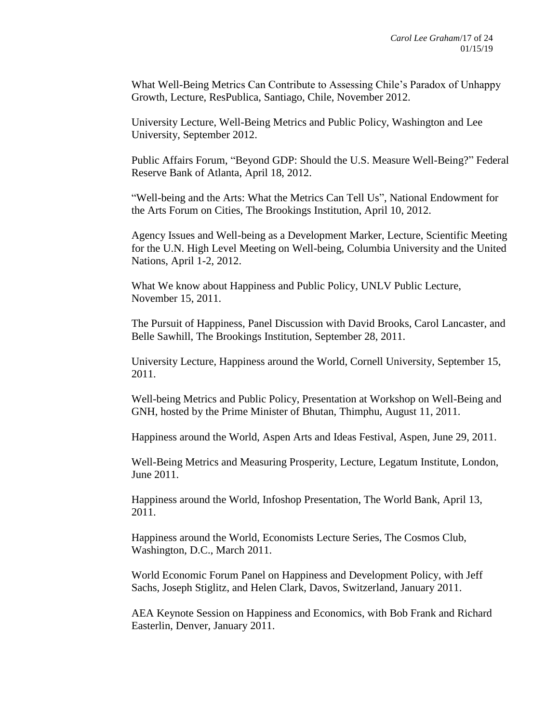What Well-Being Metrics Can Contribute to Assessing Chile's Paradox of Unhappy Growth, Lecture, ResPublica, Santiago, Chile, November 2012.

University Lecture, Well-Being Metrics and Public Policy, Washington and Lee University, September 2012.

Public Affairs Forum, "Beyond GDP: Should the U.S. Measure Well-Being?" Federal Reserve Bank of Atlanta, April 18, 2012.

"Well-being and the Arts: What the Metrics Can Tell Us", National Endowment for the Arts Forum on Cities, The Brookings Institution, April 10, 2012.

Agency Issues and Well-being as a Development Marker, Lecture, Scientific Meeting for the U.N. High Level Meeting on Well-being, Columbia University and the United Nations, April 1-2, 2012.

What We know about Happiness and Public Policy, UNLV Public Lecture, November 15, 2011.

The Pursuit of Happiness, Panel Discussion with David Brooks, Carol Lancaster, and Belle Sawhill, The Brookings Institution, September 28, 2011.

University Lecture, Happiness around the World, Cornell University, September 15, 2011.

Well-being Metrics and Public Policy, Presentation at Workshop on Well-Being and GNH, hosted by the Prime Minister of Bhutan, Thimphu, August 11, 2011.

Happiness around the World, Aspen Arts and Ideas Festival, Aspen, June 29, 2011.

Well-Being Metrics and Measuring Prosperity, Lecture, Legatum Institute, London, June 2011.

Happiness around the World, Infoshop Presentation, The World Bank, April 13, 2011.

Happiness around the World, Economists Lecture Series, The Cosmos Club, Washington, D.C., March 2011.

World Economic Forum Panel on Happiness and Development Policy, with Jeff Sachs, Joseph Stiglitz, and Helen Clark, Davos, Switzerland, January 2011.

AEA Keynote Session on Happiness and Economics, with Bob Frank and Richard Easterlin, Denver, January 2011.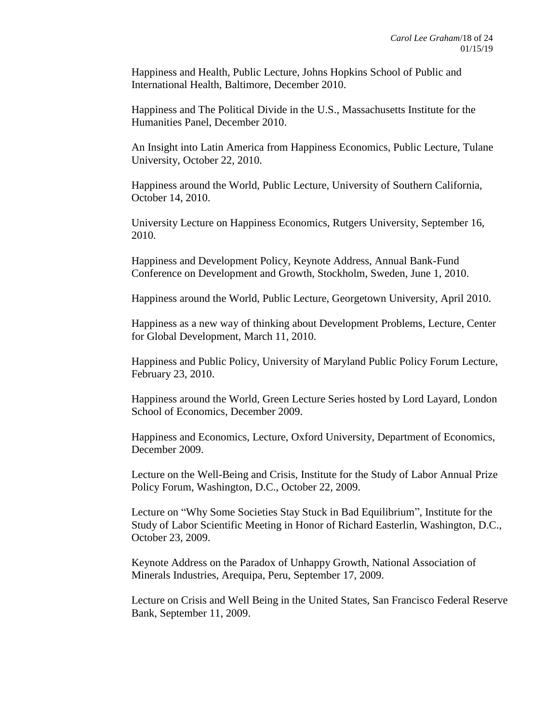Happiness and Health, Public Lecture, Johns Hopkins School of Public and International Health, Baltimore, December 2010.

Happiness and The Political Divide in the U.S., Massachusetts Institute for the Humanities Panel, December 2010.

An Insight into Latin America from Happiness Economics, Public Lecture, Tulane University, October 22, 2010.

Happiness around the World, Public Lecture, University of Southern California, October 14, 2010.

University Lecture on Happiness Economics, Rutgers University, September 16, 2010.

Happiness and Development Policy, Keynote Address, Annual Bank-Fund Conference on Development and Growth, Stockholm, Sweden, June 1, 2010.

Happiness around the World, Public Lecture, Georgetown University, April 2010.

Happiness as a new way of thinking about Development Problems, Lecture, Center for Global Development, March 11, 2010.

Happiness and Public Policy, University of Maryland Public Policy Forum Lecture, February 23, 2010.

Happiness around the World, Green Lecture Series hosted by Lord Layard, London School of Economics, December 2009.

Happiness and Economics, Lecture, Oxford University, Department of Economics, December 2009.

Lecture on the Well-Being and Crisis, Institute for the Study of Labor Annual Prize Policy Forum, Washington, D.C., October 22, 2009.

Lecture on "Why Some Societies Stay Stuck in Bad Equilibrium", Institute for the Study of Labor Scientific Meeting in Honor of Richard Easterlin, Washington, D.C., October 23, 2009.

Keynote Address on the Paradox of Unhappy Growth, National Association of Minerals Industries, Arequipa, Peru, September 17, 2009.

Lecture on Crisis and Well Being in the United States, San Francisco Federal Reserve Bank, September 11, 2009.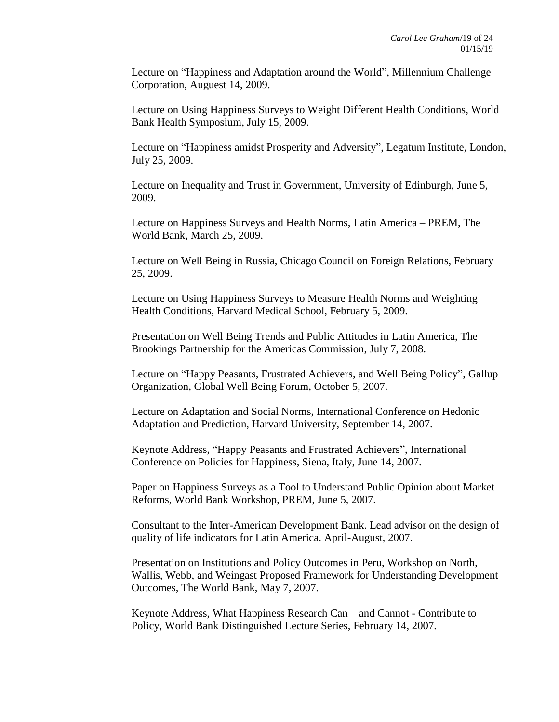Lecture on "Happiness and Adaptation around the World", Millennium Challenge Corporation, Auguest 14, 2009.

Lecture on Using Happiness Surveys to Weight Different Health Conditions, World Bank Health Symposium, July 15, 2009.

Lecture on "Happiness amidst Prosperity and Adversity", Legatum Institute, London, July 25, 2009.

Lecture on Inequality and Trust in Government, University of Edinburgh, June 5, 2009.

Lecture on Happiness Surveys and Health Norms, Latin America – PREM, The World Bank, March 25, 2009.

Lecture on Well Being in Russia, Chicago Council on Foreign Relations, February 25, 2009.

Lecture on Using Happiness Surveys to Measure Health Norms and Weighting Health Conditions, Harvard Medical School, February 5, 2009.

Presentation on Well Being Trends and Public Attitudes in Latin America, The Brookings Partnership for the Americas Commission, July 7, 2008.

Lecture on "Happy Peasants, Frustrated Achievers, and Well Being Policy", Gallup Organization, Global Well Being Forum, October 5, 2007.

Lecture on Adaptation and Social Norms, International Conference on Hedonic Adaptation and Prediction, Harvard University, September 14, 2007.

Keynote Address, "Happy Peasants and Frustrated Achievers", International Conference on Policies for Happiness, Siena, Italy, June 14, 2007.

Paper on Happiness Surveys as a Tool to Understand Public Opinion about Market Reforms, World Bank Workshop, PREM, June 5, 2007.

Consultant to the Inter-American Development Bank. Lead advisor on the design of quality of life indicators for Latin America. April-August, 2007.

Presentation on Institutions and Policy Outcomes in Peru, Workshop on North, Wallis, Webb, and Weingast Proposed Framework for Understanding Development Outcomes, The World Bank, May 7, 2007.

Keynote Address, What Happiness Research Can – and Cannot - Contribute to Policy, World Bank Distinguished Lecture Series, February 14, 2007.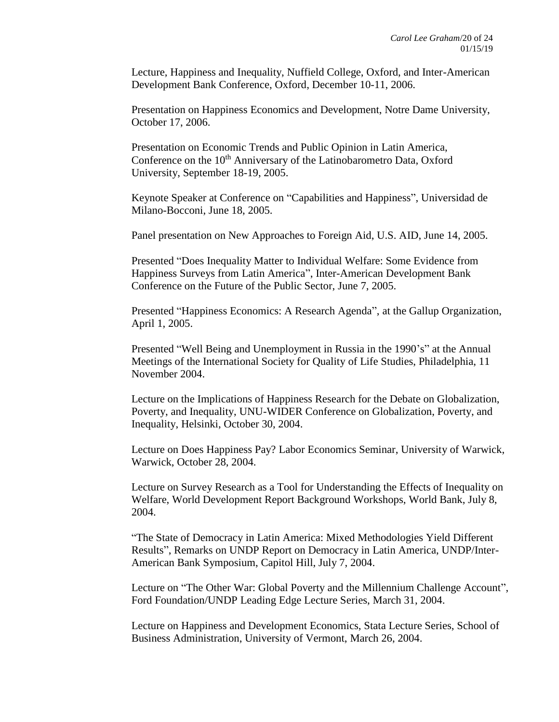Lecture, Happiness and Inequality, Nuffield College, Oxford, and Inter-American Development Bank Conference, Oxford, December 10-11, 2006.

Presentation on Happiness Economics and Development, Notre Dame University, October 17, 2006.

Presentation on Economic Trends and Public Opinion in Latin America, Conference on the 10<sup>th</sup> Anniversary of the Latinobarometro Data, Oxford University, September 18-19, 2005.

Keynote Speaker at Conference on "Capabilities and Happiness", Universidad de Milano-Bocconi, June 18, 2005.

Panel presentation on New Approaches to Foreign Aid, U.S. AID, June 14, 2005.

Presented "Does Inequality Matter to Individual Welfare: Some Evidence from Happiness Surveys from Latin America", Inter-American Development Bank Conference on the Future of the Public Sector, June 7, 2005.

Presented "Happiness Economics: A Research Agenda", at the Gallup Organization, April 1, 2005.

Presented "Well Being and Unemployment in Russia in the 1990's" at the Annual Meetings of the International Society for Quality of Life Studies, Philadelphia, 11 November 2004.

Lecture on the Implications of Happiness Research for the Debate on Globalization, Poverty, and Inequality, UNU-WIDER Conference on Globalization, Poverty, and Inequality, Helsinki, October 30, 2004.

Lecture on Does Happiness Pay? Labor Economics Seminar, University of Warwick, Warwick, October 28, 2004.

Lecture on Survey Research as a Tool for Understanding the Effects of Inequality on Welfare, World Development Report Background Workshops, World Bank, July 8, 2004.

"The State of Democracy in Latin America: Mixed Methodologies Yield Different Results", Remarks on UNDP Report on Democracy in Latin America, UNDP/Inter-American Bank Symposium, Capitol Hill, July 7, 2004.

Lecture on "The Other War: Global Poverty and the Millennium Challenge Account", Ford Foundation/UNDP Leading Edge Lecture Series, March 31, 2004.

Lecture on Happiness and Development Economics, Stata Lecture Series, School of Business Administration, University of Vermont, March 26, 2004.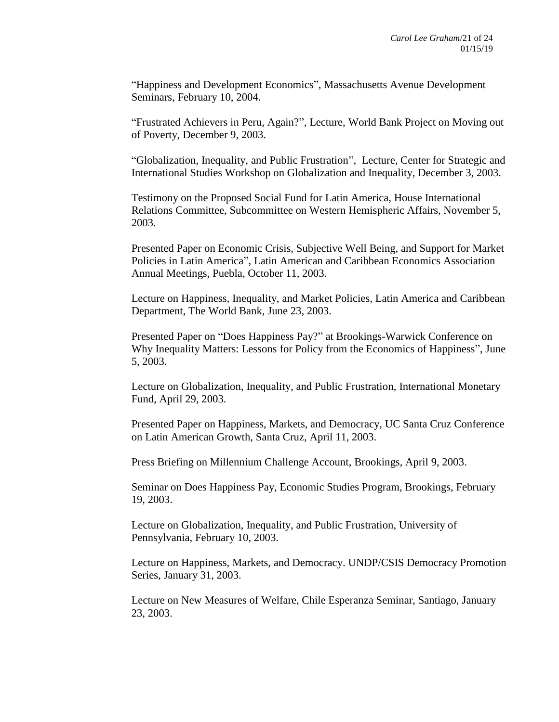"Happiness and Development Economics", Massachusetts Avenue Development Seminars, February 10, 2004.

"Frustrated Achievers in Peru, Again?", Lecture, World Bank Project on Moving out of Poverty, December 9, 2003.

"Globalization, Inequality, and Public Frustration", Lecture, Center for Strategic and International Studies Workshop on Globalization and Inequality, December 3, 2003.

Testimony on the Proposed Social Fund for Latin America, House International Relations Committee, Subcommittee on Western Hemispheric Affairs, November 5, 2003.

Presented Paper on Economic Crisis, Subjective Well Being, and Support for Market Policies in Latin America", Latin American and Caribbean Economics Association Annual Meetings, Puebla, October 11, 2003.

Lecture on Happiness, Inequality, and Market Policies, Latin America and Caribbean Department, The World Bank, June 23, 2003.

Presented Paper on "Does Happiness Pay?" at Brookings-Warwick Conference on Why Inequality Matters: Lessons for Policy from the Economics of Happiness", June 5, 2003.

Lecture on Globalization, Inequality, and Public Frustration, International Monetary Fund, April 29, 2003.

Presented Paper on Happiness, Markets, and Democracy, UC Santa Cruz Conference on Latin American Growth, Santa Cruz, April 11, 2003.

Press Briefing on Millennium Challenge Account, Brookings, April 9, 2003.

Seminar on Does Happiness Pay, Economic Studies Program, Brookings, February 19, 2003.

Lecture on Globalization, Inequality, and Public Frustration, University of Pennsylvania, February 10, 2003.

Lecture on Happiness, Markets, and Democracy. UNDP/CSIS Democracy Promotion Series, January 31, 2003.

Lecture on New Measures of Welfare, Chile Esperanza Seminar, Santiago, January 23, 2003.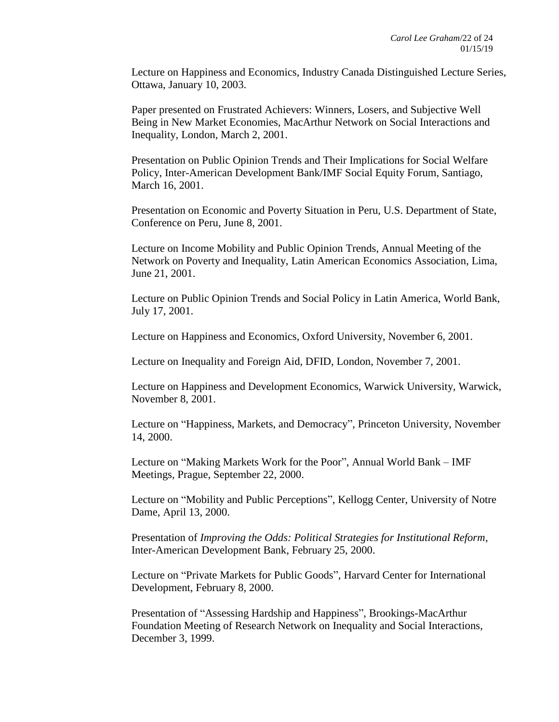Lecture on Happiness and Economics, Industry Canada Distinguished Lecture Series, Ottawa, January 10, 2003.

Paper presented on Frustrated Achievers: Winners, Losers, and Subjective Well Being in New Market Economies, MacArthur Network on Social Interactions and Inequality, London, March 2, 2001.

Presentation on Public Opinion Trends and Their Implications for Social Welfare Policy, Inter-American Development Bank/IMF Social Equity Forum, Santiago, March 16, 2001.

Presentation on Economic and Poverty Situation in Peru, U.S. Department of State, Conference on Peru, June 8, 2001.

Lecture on Income Mobility and Public Opinion Trends, Annual Meeting of the Network on Poverty and Inequality, Latin American Economics Association, Lima, June 21, 2001.

Lecture on Public Opinion Trends and Social Policy in Latin America, World Bank, July 17, 2001.

Lecture on Happiness and Economics, Oxford University, November 6, 2001.

Lecture on Inequality and Foreign Aid, DFID, London, November 7, 2001.

Lecture on Happiness and Development Economics, Warwick University, Warwick, November 8, 2001.

Lecture on "Happiness, Markets, and Democracy", Princeton University, November 14, 2000.

Lecture on "Making Markets Work for the Poor", Annual World Bank – IMF Meetings, Prague, September 22, 2000.

Lecture on "Mobility and Public Perceptions", Kellogg Center, University of Notre Dame, April 13, 2000.

Presentation of *Improving the Odds: Political Strategies for Institutional Reform*, Inter-American Development Bank, February 25, 2000.

Lecture on "Private Markets for Public Goods", Harvard Center for International Development, February 8, 2000.

Presentation of "Assessing Hardship and Happiness", Brookings-MacArthur Foundation Meeting of Research Network on Inequality and Social Interactions, December 3, 1999.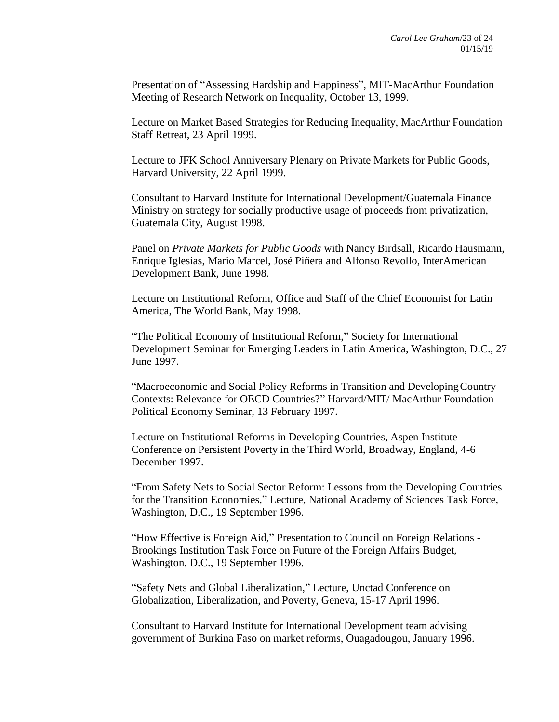Presentation of "Assessing Hardship and Happiness", MIT-MacArthur Foundation Meeting of Research Network on Inequality, October 13, 1999.

Lecture on Market Based Strategies for Reducing Inequality, MacArthur Foundation Staff Retreat, 23 April 1999.

Lecture to JFK School Anniversary Plenary on Private Markets for Public Goods, Harvard University, 22 April 1999.

Consultant to Harvard Institute for International Development/Guatemala Finance Ministry on strategy for socially productive usage of proceeds from privatization, Guatemala City, August 1998.

Panel on *Private Markets for Public Goods* with Nancy Birdsall, Ricardo Hausmann, Enrique Iglesias, Mario Marcel, José Piñera and Alfonso Revollo, InterAmerican Development Bank, June 1998.

Lecture on Institutional Reform, Office and Staff of the Chief Economist for Latin America, The World Bank, May 1998.

"The Political Economy of Institutional Reform," Society for International Development Seminar for Emerging Leaders in Latin America, Washington, D.C., 27 June 1997.

"Macroeconomic and Social Policy Reforms in Transition and DevelopingCountry Contexts: Relevance for OECD Countries?" Harvard/MIT/ MacArthur Foundation Political Economy Seminar, 13 February 1997.

Lecture on Institutional Reforms in Developing Countries, Aspen Institute Conference on Persistent Poverty in the Third World, Broadway, England, 4-6 December 1997.

"From Safety Nets to Social Sector Reform: Lessons from the Developing Countries for the Transition Economies," Lecture, National Academy of Sciences Task Force, Washington, D.C., 19 September 1996.

"How Effective is Foreign Aid," Presentation to Council on Foreign Relations - Brookings Institution Task Force on Future of the Foreign Affairs Budget, Washington, D.C., 19 September 1996.

"Safety Nets and Global Liberalization," Lecture, Unctad Conference on Globalization, Liberalization, and Poverty, Geneva, 15-17 April 1996.

Consultant to Harvard Institute for International Development team advising government of Burkina Faso on market reforms, Ouagadougou, January 1996.